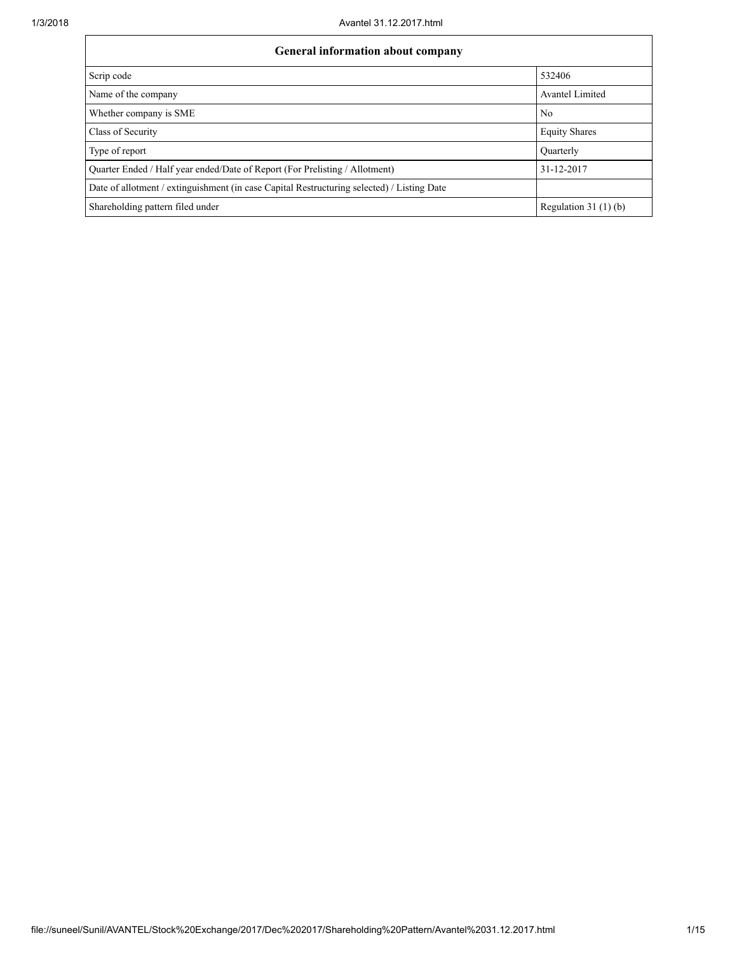| <b>General information about company</b>                                                   |                        |
|--------------------------------------------------------------------------------------------|------------------------|
| Scrip code                                                                                 | 532406                 |
| Name of the company                                                                        | <b>Avantel Limited</b> |
| Whether company is SME                                                                     | N <sub>0</sub>         |
| Class of Security                                                                          | <b>Equity Shares</b>   |
| Type of report                                                                             | Ouarterly              |
| Quarter Ended / Half year ended/Date of Report (For Prelisting / Allotment)                | 31-12-2017             |
| Date of allotment / extinguishment (in case Capital Restructuring selected) / Listing Date |                        |
| Shareholding pattern filed under                                                           | Regulation $31(1)(b)$  |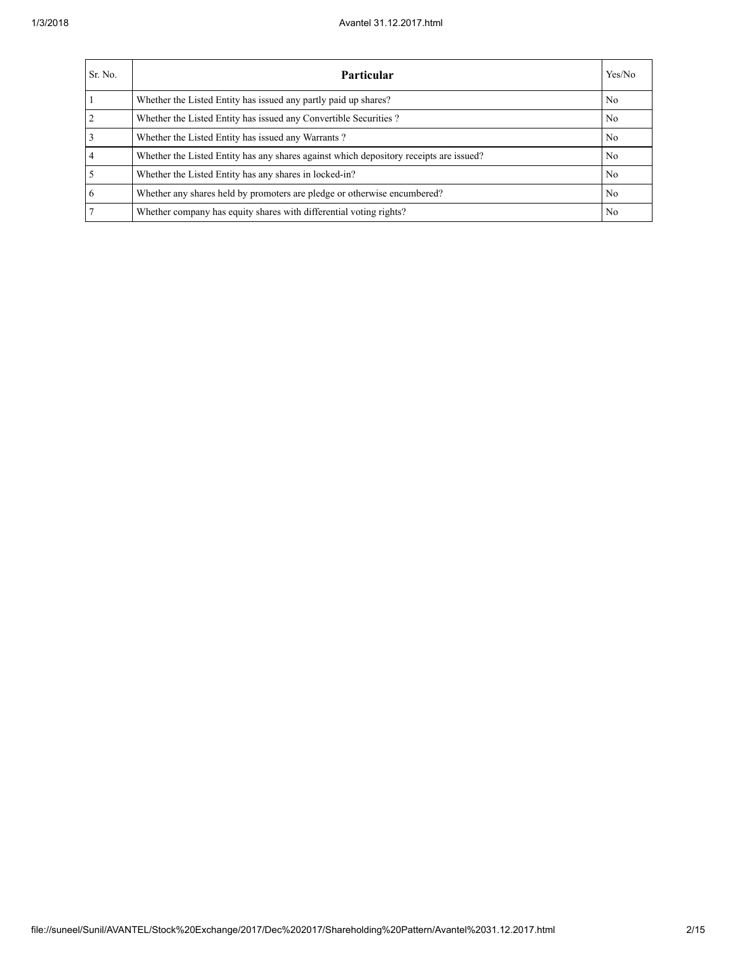| Sr. No.        | <b>Particular</b>                                                                      | Yes/No         |
|----------------|----------------------------------------------------------------------------------------|----------------|
|                | Whether the Listed Entity has issued any partly paid up shares?                        | N <sub>0</sub> |
|                | Whether the Listed Entity has issued any Convertible Securities?                       | No             |
|                | Whether the Listed Entity has issued any Warrants?                                     | No.            |
| $\overline{4}$ | Whether the Listed Entity has any shares against which depository receipts are issued? | No.            |
|                | Whether the Listed Entity has any shares in locked-in?                                 | No.            |
| 6              | Whether any shares held by promoters are pledge or otherwise encumbered?               | No.            |
|                | Whether company has equity shares with differential voting rights?                     | No             |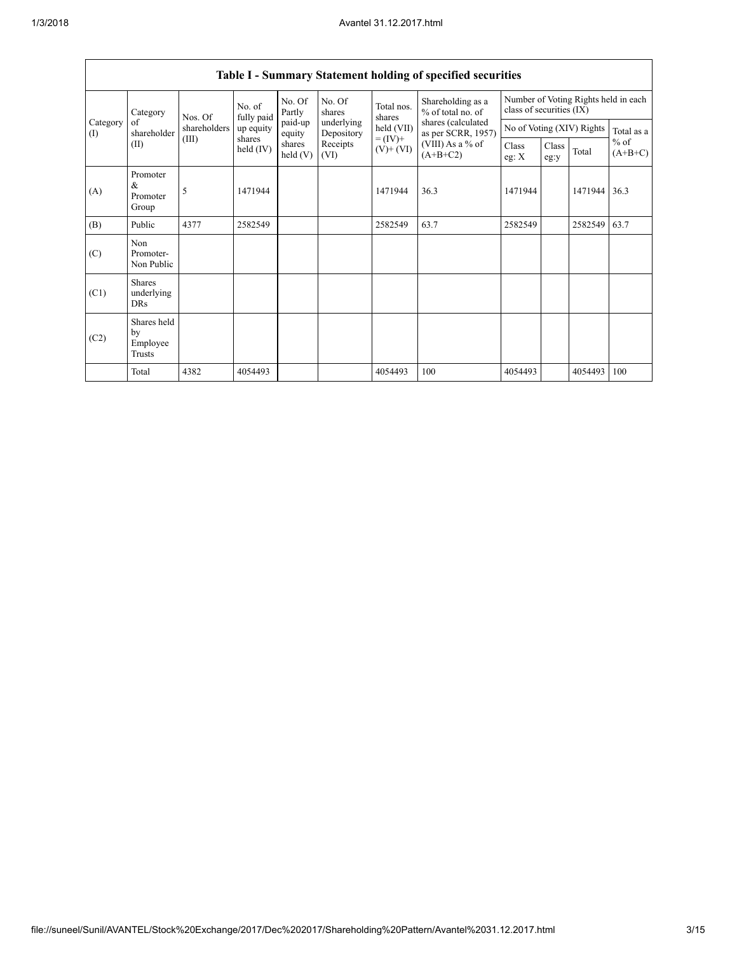| Category<br>(I) | Category                                  | Nos. Of      | No. of<br>fully paid | No. Of<br>Partly           | No. Of<br>shares         | Total nos.<br>shares     | Shareholding as a<br>% of total no. of   | Number of Voting Rights held in each<br>class of securities (IX) |               |                           |                     |
|-----------------|-------------------------------------------|--------------|----------------------|----------------------------|--------------------------|--------------------------|------------------------------------------|------------------------------------------------------------------|---------------|---------------------------|---------------------|
|                 | of<br>shareholder                         | shareholders | up equity            | paid-up<br>equity          | underlying<br>Depository | held (VII)               | shares (calculated<br>as per SCRR, 1957) |                                                                  |               | No of Voting (XIV) Rights | Total as a          |
|                 | (II)                                      | (III)        | shares<br>held (IV)  | shares<br>$\text{held}(V)$ | Receipts<br>(VI)         | $= (IV) +$<br>$(V)+(VI)$ | (VIII) As a % of<br>$(A+B+C2)$           | Class<br>eg: $X$                                                 | Class<br>eg:y | Total                     | $%$ of<br>$(A+B+C)$ |
| (A)             | Promoter<br>$\&$<br>Promoter<br>Group     | 5            | 1471944              |                            |                          | 1471944                  | 36.3                                     | 1471944                                                          |               | 1471944                   | 36.3                |
| (B)             | Public                                    | 4377         | 2582549              |                            |                          | 2582549                  | 63.7                                     | 2582549                                                          |               | 2582549                   | 63.7                |
| (C)             | Non<br>Promoter-<br>Non Public            |              |                      |                            |                          |                          |                                          |                                                                  |               |                           |                     |
| (C1)            | <b>Shares</b><br>underlying<br><b>DRs</b> |              |                      |                            |                          |                          |                                          |                                                                  |               |                           |                     |
| (C2)            | Shares held<br>by<br>Employee<br>Trusts   |              |                      |                            |                          |                          |                                          |                                                                  |               |                           |                     |
|                 | Total                                     | 4382         | 4054493              |                            |                          | 4054493                  | 100                                      | 4054493                                                          |               | 4054493                   | 100                 |

## Table I - Summary Statement holding of specified securities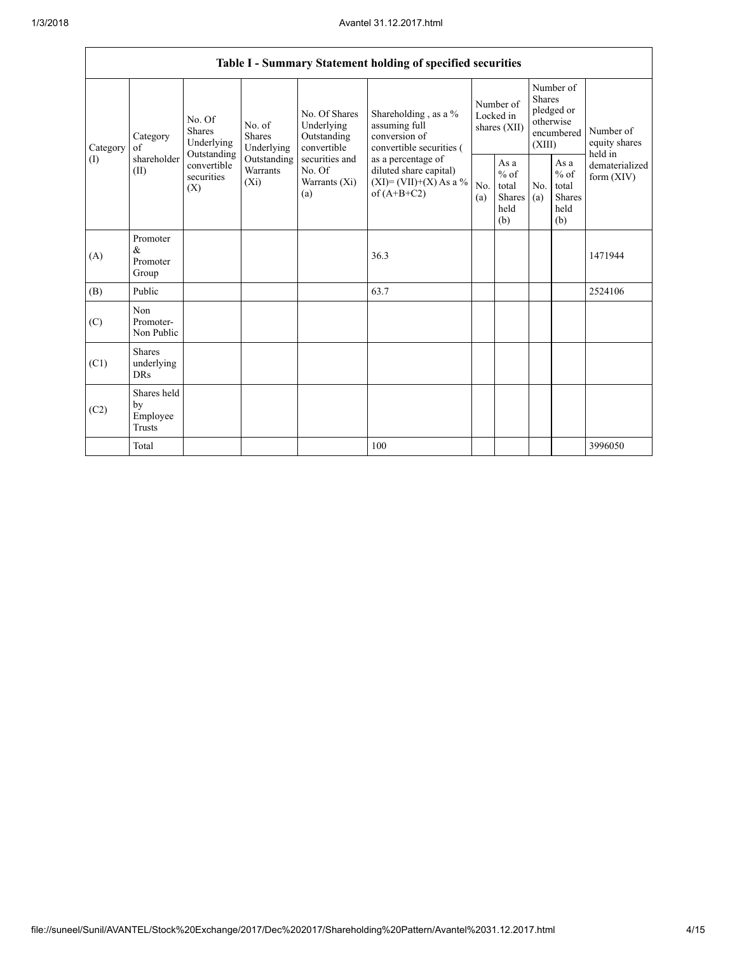|                 | Table I - Summary Statement holding of specified securities |                                                 |                                    |                                                           |                                                                                          |                                        |                                                  |                                                                               |                                                                    |                                       |  |  |  |
|-----------------|-------------------------------------------------------------|-------------------------------------------------|------------------------------------|-----------------------------------------------------------|------------------------------------------------------------------------------------------|----------------------------------------|--------------------------------------------------|-------------------------------------------------------------------------------|--------------------------------------------------------------------|---------------------------------------|--|--|--|
| Category<br>(I) | Category<br>of<br>shareholder<br>(II)                       | No. Of<br>Shares<br>Underlying                  | No. of<br>Shares<br>Underlying     | No. Of Shares<br>Underlying<br>Outstanding<br>convertible | Shareholding, as a %<br>assuming full<br>conversion of<br>convertible securities (       | Number of<br>Locked in<br>shares (XII) |                                                  | Number of<br><b>Shares</b><br>pledged or<br>otherwise<br>encumbered<br>(XIII) |                                                                    | Number of<br>equity shares<br>held in |  |  |  |
|                 |                                                             | Outstanding<br>convertible<br>securities<br>(X) | Outstanding<br>Warrants<br>$(X_i)$ | securities and<br>No. Of<br>Warrants (Xi)<br>(a)          | as a percentage of<br>diluted share capital)<br>$(XI)=(VII)+(X) As a %$<br>of $(A+B+C2)$ | No.<br>(a)                             | As a<br>$%$ of<br>total<br>Shares<br>held<br>(b) | No.<br>(a)                                                                    | As $\mathbf{a}$<br>$%$ of<br>total<br><b>Shares</b><br>held<br>(b) | dematerialized<br>form $(XIV)$        |  |  |  |
| (A)             | Promoter<br>&<br>Promoter<br>Group                          |                                                 |                                    |                                                           | 36.3                                                                                     |                                        |                                                  |                                                                               |                                                                    | 1471944                               |  |  |  |
| (B)             | Public                                                      |                                                 |                                    |                                                           | 63.7                                                                                     |                                        |                                                  |                                                                               |                                                                    | 2524106                               |  |  |  |
| (C)             | Non<br>Promoter-<br>Non Public                              |                                                 |                                    |                                                           |                                                                                          |                                        |                                                  |                                                                               |                                                                    |                                       |  |  |  |
| (C1)            | <b>Shares</b><br>underlying<br><b>DRs</b>                   |                                                 |                                    |                                                           |                                                                                          |                                        |                                                  |                                                                               |                                                                    |                                       |  |  |  |
| (C2)            | Shares held<br>by<br>Employee<br><b>Trusts</b>              |                                                 |                                    |                                                           |                                                                                          |                                        |                                                  |                                                                               |                                                                    |                                       |  |  |  |
|                 | Total                                                       |                                                 |                                    |                                                           | 100                                                                                      |                                        |                                                  |                                                                               |                                                                    | 3996050                               |  |  |  |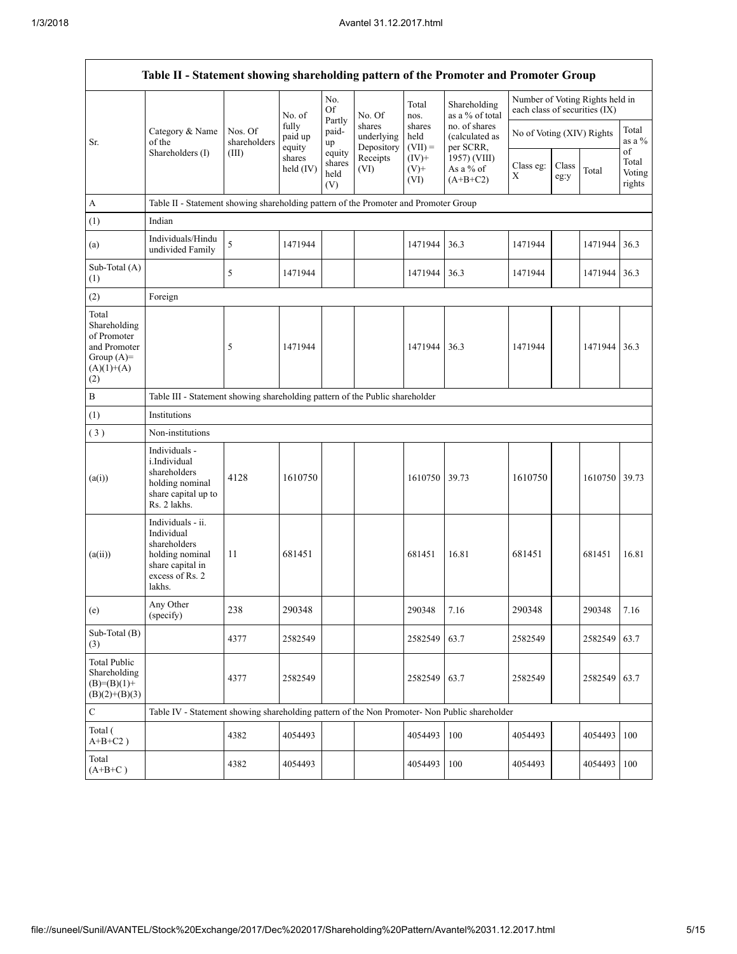|                                                                                             | Table II - Statement showing shareholding pattern of the Promoter and Promoter Group                                |                         |                            |                                 |                                                        |                             |                                              |                               |               |                                 |                                 |
|---------------------------------------------------------------------------------------------|---------------------------------------------------------------------------------------------------------------------|-------------------------|----------------------------|---------------------------------|--------------------------------------------------------|-----------------------------|----------------------------------------------|-------------------------------|---------------|---------------------------------|---------------------------------|
|                                                                                             |                                                                                                                     |                         | No. of                     | No.<br><b>Of</b>                | No. Of                                                 | Total<br>nos.               | Shareholding<br>as a % of total              | each class of securities (IX) |               | Number of Voting Rights held in |                                 |
| Sr.                                                                                         | Category & Name<br>of the                                                                                           | Nos. Of<br>shareholders | fully<br>paid up<br>equity | Partly<br>paid-<br>up           | shares<br>underlying<br>Depository<br>Receipts<br>(VI) | shares<br>held<br>$(VII) =$ | no. of shares<br>(calculated as<br>per SCRR, | No of Voting (XIV) Rights     |               |                                 | Total<br>as a $%$               |
|                                                                                             | Shareholders (I)                                                                                                    | (III)                   | shares<br>held $(IV)$      | equity<br>shares<br>held<br>(V) |                                                        | $(IV)+$<br>$(V)$ +<br>(VI)  | 1957) (VIII)<br>As a % of<br>$(A+B+C2)$      | Class eg:<br>Χ                | Class<br>eg:y | Total                           | of<br>Total<br>Voting<br>rights |
| A                                                                                           | Table II - Statement showing shareholding pattern of the Promoter and Promoter Group                                |                         |                            |                                 |                                                        |                             |                                              |                               |               |                                 |                                 |
| (1)                                                                                         | Indian                                                                                                              |                         |                            |                                 |                                                        |                             |                                              |                               |               |                                 |                                 |
| (a)                                                                                         | Individuals/Hindu<br>undivided Family                                                                               | 5                       | 1471944                    |                                 |                                                        | 1471944                     | 36.3                                         | 1471944                       |               | 1471944                         | 36.3                            |
| Sub-Total (A)<br>(1)                                                                        |                                                                                                                     | 5                       | 1471944                    |                                 |                                                        | 1471944                     | 36.3                                         | 1471944                       |               | 1471944                         | 36.3                            |
| (2)                                                                                         | Foreign                                                                                                             |                         |                            |                                 |                                                        |                             |                                              |                               |               |                                 |                                 |
| Total<br>Shareholding<br>of Promoter<br>and Promoter<br>Group $(A)=$<br>$(A)(1)+(A)$<br>(2) |                                                                                                                     | 5                       | 1471944                    |                                 |                                                        | 1471944                     | 36.3                                         | 1471944                       |               | 1471944                         | 36.3                            |
| $\, {\bf B}$                                                                                | Table III - Statement showing shareholding pattern of the Public shareholder                                        |                         |                            |                                 |                                                        |                             |                                              |                               |               |                                 |                                 |
| (1)                                                                                         | Institutions                                                                                                        |                         |                            |                                 |                                                        |                             |                                              |                               |               |                                 |                                 |
| (3)                                                                                         | Non-institutions                                                                                                    |                         |                            |                                 |                                                        |                             |                                              |                               |               |                                 |                                 |
| (a(i))                                                                                      | Individuals -<br>i.Individual<br>shareholders<br>holding nominal<br>share capital up to<br>Rs. 2 lakhs.             | 4128                    | 1610750                    |                                 |                                                        | 1610750                     | 39.73                                        | 1610750                       |               | 1610750 39.73                   |                                 |
| (a(ii))                                                                                     | Individuals - ii.<br>Individual<br>shareholders<br>holding nominal<br>share capital in<br>excess of Rs. 2<br>lakhs. | 11                      | 681451                     |                                 |                                                        | 681451                      | 16.81                                        | 681451                        |               | 681451                          | 16.81                           |
| (e)                                                                                         | Any Other<br>(specify)                                                                                              | 238                     | 290348                     |                                 |                                                        | 290348                      | 7.16                                         | 290348                        |               | 290348                          | 7.16                            |
| Sub-Total (B)<br>(3)                                                                        |                                                                                                                     | 4377                    | 2582549                    |                                 |                                                        | 2582549                     | 63.7                                         | 2582549                       |               | 2582549                         | 63.7                            |
| <b>Total Public</b><br>Shareholding<br>$(B)=(B)(1)+$<br>$(B)(2)+(B)(3)$                     |                                                                                                                     | 4377                    | 2582549                    |                                 |                                                        | 2582549                     | 63.7                                         | 2582549                       |               | 2582549                         | 63.7                            |
| $\mathbf C$                                                                                 | Table IV - Statement showing shareholding pattern of the Non Promoter- Non Public shareholder                       |                         |                            |                                 |                                                        |                             |                                              |                               |               |                                 |                                 |
| Total (<br>$A+B+C2$ )                                                                       |                                                                                                                     | 4382                    | 4054493                    |                                 |                                                        | 4054493                     | 100                                          | 4054493                       |               | 4054493                         | 100                             |
| Total<br>$(A+B+C)$                                                                          |                                                                                                                     | 4382                    | 4054493                    |                                 |                                                        | 4054493                     | 100                                          | 4054493                       |               | 4054493                         | 100                             |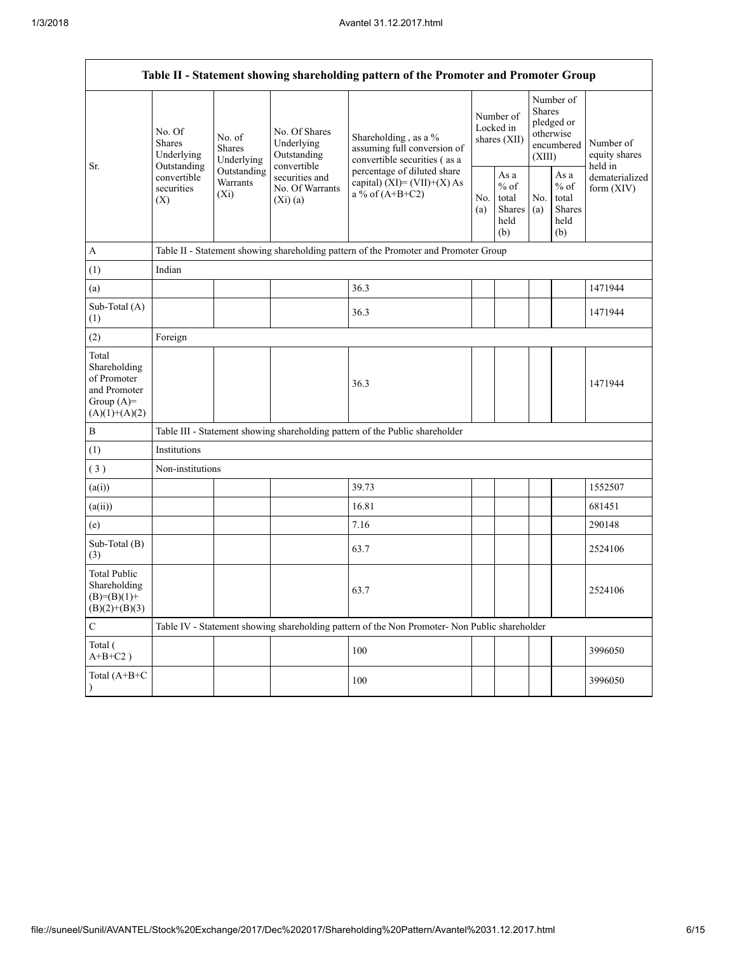|                                                                                         |                                                 |                                                                                           |                                                           | Table II - Statement showing shareholding pattern of the Promoter and Promoter Group          |  |                                                  |            |                                                                        |                                                                         |
|-----------------------------------------------------------------------------------------|-------------------------------------------------|-------------------------------------------------------------------------------------------|-----------------------------------------------------------|-----------------------------------------------------------------------------------------------|--|--------------------------------------------------|------------|------------------------------------------------------------------------|-------------------------------------------------------------------------|
| Sr.                                                                                     | No. Of<br><b>Shares</b><br>Underlying           | No. of<br><b>Shares</b><br>Underlying                                                     | No. Of Shares<br>Underlying<br>Outstanding<br>convertible | Shareholding, as a %<br>assuming full conversion of<br>convertible securities (as a           |  | Number of<br>Locked in<br>shares $(XII)$         |            | Number of<br>Shares<br>pledged or<br>otherwise<br>encumbered<br>(XIII) | Number of<br>equity shares<br>held in<br>dematerialized<br>form $(XIV)$ |
|                                                                                         | Outstanding<br>convertible<br>securities<br>(X) | Outstanding<br>securities and<br><b>Warrants</b><br>No. Of Warrants<br>$(X_i)$<br>(Xi)(a) |                                                           | percentage of diluted share<br>capital) $(XI) = (VII)+(X) As$<br>a % of $(A+B+C2)$            |  | As a<br>$%$ of<br>total<br>Shares<br>held<br>(b) | No.<br>(a) | As $\mathbf{a}$<br>$%$ of<br>total<br>Shares<br>held<br>(b)            |                                                                         |
| A                                                                                       |                                                 |                                                                                           |                                                           | Table II - Statement showing shareholding pattern of the Promoter and Promoter Group          |  |                                                  |            |                                                                        |                                                                         |
| (1)                                                                                     | Indian                                          |                                                                                           |                                                           |                                                                                               |  |                                                  |            |                                                                        |                                                                         |
| (a)                                                                                     |                                                 |                                                                                           |                                                           | 36.3                                                                                          |  |                                                  |            |                                                                        | 1471944                                                                 |
| Sub-Total (A)<br>(1)                                                                    |                                                 |                                                                                           |                                                           | 36.3                                                                                          |  |                                                  |            |                                                                        | 1471944                                                                 |
| (2)                                                                                     | Foreign                                         |                                                                                           |                                                           |                                                                                               |  |                                                  |            |                                                                        |                                                                         |
| Total<br>Shareholding<br>of Promoter<br>and Promoter<br>Group $(A)=$<br>$(A)(1)+(A)(2)$ |                                                 |                                                                                           |                                                           | 36.3                                                                                          |  |                                                  |            |                                                                        | 1471944                                                                 |
| $\, {\bf B}$                                                                            |                                                 |                                                                                           |                                                           | Table III - Statement showing shareholding pattern of the Public shareholder                  |  |                                                  |            |                                                                        |                                                                         |
| (1)                                                                                     | Institutions                                    |                                                                                           |                                                           |                                                                                               |  |                                                  |            |                                                                        |                                                                         |
| (3)                                                                                     | Non-institutions                                |                                                                                           |                                                           |                                                                                               |  |                                                  |            |                                                                        |                                                                         |
| (a(i))                                                                                  |                                                 |                                                                                           |                                                           | 39.73                                                                                         |  |                                                  |            |                                                                        | 1552507                                                                 |
| (a(ii))                                                                                 |                                                 |                                                                                           |                                                           | 16.81                                                                                         |  |                                                  |            |                                                                        | 681451                                                                  |
| (e)                                                                                     |                                                 |                                                                                           |                                                           | 7.16                                                                                          |  |                                                  |            |                                                                        | 290148                                                                  |
| Sub-Total (B)<br>(3)                                                                    |                                                 |                                                                                           |                                                           | 63.7                                                                                          |  |                                                  |            |                                                                        | 2524106                                                                 |
| <b>Total Public</b><br>Shareholding<br>$(B)=(B)(1)+$<br>$(B)(2)+(B)(3)$                 |                                                 |                                                                                           |                                                           | 63.7                                                                                          |  |                                                  |            |                                                                        | 2524106                                                                 |
| $\mathbf C$                                                                             |                                                 |                                                                                           |                                                           | Table IV - Statement showing shareholding pattern of the Non Promoter- Non Public shareholder |  |                                                  |            |                                                                        |                                                                         |
| Total (<br>$A+B+C2$ )                                                                   |                                                 |                                                                                           |                                                           | 100                                                                                           |  |                                                  |            |                                                                        | 3996050                                                                 |
| Total (A+B+C                                                                            |                                                 |                                                                                           |                                                           | 100                                                                                           |  |                                                  |            |                                                                        | 3996050                                                                 |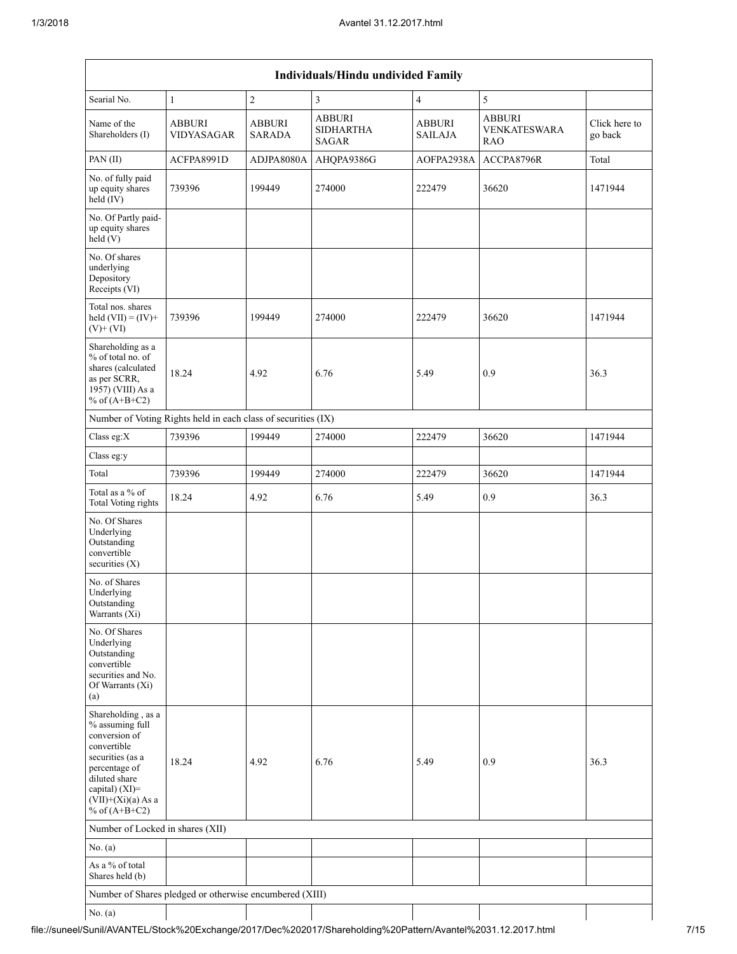|                                                                                                                                                                                             |                                                               |                                | Individuals/Hindu undivided Family                |                          |                                                    |                          |
|---------------------------------------------------------------------------------------------------------------------------------------------------------------------------------------------|---------------------------------------------------------------|--------------------------------|---------------------------------------------------|--------------------------|----------------------------------------------------|--------------------------|
| Searial No.                                                                                                                                                                                 | $\mathbf{1}$                                                  | $\overline{c}$                 | $\overline{3}$                                    | $\overline{4}$           | 5                                                  |                          |
| Name of the<br>Shareholders (I)                                                                                                                                                             | <b>ABBURI</b><br>VIDYASAGAR                                   | <b>ABBURI</b><br><b>SARADA</b> | <b>ABBURI</b><br><b>SIDHARTHA</b><br><b>SAGAR</b> | <b>ABBURI</b><br>SAILAJA | <b>ABBURI</b><br><b>VENKATESWARA</b><br><b>RAO</b> | Click here to<br>go back |
| PAN(II)                                                                                                                                                                                     | ACFPA8991D                                                    | ADJPA8080A                     | AHQPA9386G                                        | AOFPA2938A               | ACCPA8796R                                         | Total                    |
| No. of fully paid<br>up equity shares<br>$held$ (IV)                                                                                                                                        | 739396                                                        | 199449                         | 274000                                            | 222479                   | 36620                                              | 1471944                  |
| No. Of Partly paid-<br>up equity shares<br>held(V)                                                                                                                                          |                                                               |                                |                                                   |                          |                                                    |                          |
| No. Of shares<br>underlying<br>Depository<br>Receipts (VI)                                                                                                                                  |                                                               |                                |                                                   |                          |                                                    |                          |
| Total nos. shares<br>held $(VII) = (IV) +$<br>$(V)+(VI)$                                                                                                                                    | 739396                                                        | 199449                         | 274000                                            | 222479                   | 36620                                              | 1471944                  |
| Shareholding as a<br>% of total no. of<br>shares (calculated<br>as per SCRR,<br>1957) (VIII) As a<br>% of $(A+B+C2)$                                                                        | 18.24                                                         | 4.92                           | 6.76                                              | 5.49                     | 0.9                                                | 36.3                     |
|                                                                                                                                                                                             | Number of Voting Rights held in each class of securities (IX) |                                |                                                   |                          |                                                    |                          |
| Class eg:X                                                                                                                                                                                  | 739396                                                        | 199449                         | 274000                                            | 222479                   | 36620                                              | 1471944                  |
| Class eg:y                                                                                                                                                                                  |                                                               |                                |                                                   |                          |                                                    |                          |
| Total                                                                                                                                                                                       | 739396                                                        | 199449                         | 274000                                            | 222479                   | 36620                                              | 1471944                  |
| Total as a % of<br>Total Voting rights                                                                                                                                                      | 18.24                                                         | 4.92                           | 6.76                                              | 5.49                     | 0.9                                                | 36.3                     |
| No. Of Shares<br>Underlying<br>Outstanding<br>convertible<br>securities $(X)$                                                                                                               |                                                               |                                |                                                   |                          |                                                    |                          |
| No. of Shares<br>Underlying<br>Outstanding<br>Warrants (Xi)                                                                                                                                 |                                                               |                                |                                                   |                          |                                                    |                          |
| No. Of Shares<br>Underlying<br>Outstanding<br>convertible<br>securities and No.<br>Of Warrants (Xi)<br>(a)                                                                                  |                                                               |                                |                                                   |                          |                                                    |                          |
| Shareholding, as a<br>% assuming full<br>conversion of<br>convertible<br>securities (as a<br>percentage of<br>diluted share<br>capital) $(XI)$ =<br>$(VII)+(Xi)(a) As a$<br>% of $(A+B+C2)$ | 18.24                                                         | 4.92                           | 6.76                                              | 5.49                     | 0.9                                                | 36.3                     |
| Number of Locked in shares (XII)                                                                                                                                                            |                                                               |                                |                                                   |                          |                                                    |                          |
| No. $(a)$                                                                                                                                                                                   |                                                               |                                |                                                   |                          |                                                    |                          |
| As a % of total<br>Shares held (b)                                                                                                                                                          |                                                               |                                |                                                   |                          |                                                    |                          |
|                                                                                                                                                                                             | Number of Shares pledged or otherwise encumbered (XIII)       |                                |                                                   |                          |                                                    |                          |
| No. $(a)$                                                                                                                                                                                   |                                                               |                                |                                                   |                          |                                                    |                          |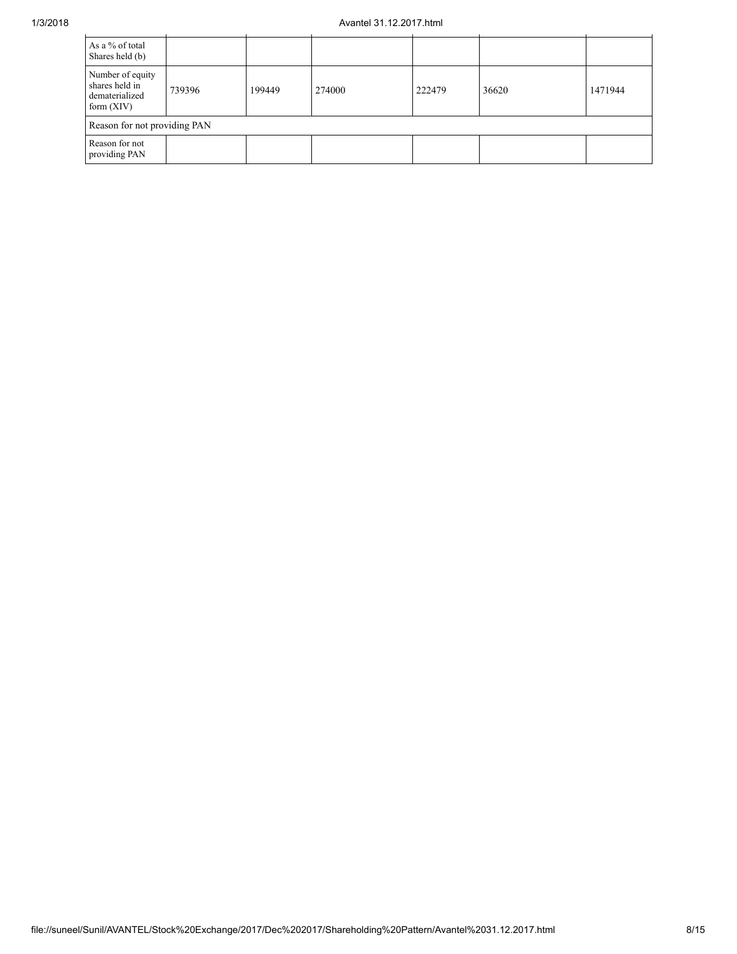## 1/3/2018 Avantel 31.12.2017.html

| As a % of total<br>Shares held (b)                                   |                              |        |        |        |       |         |  |  |  |  |
|----------------------------------------------------------------------|------------------------------|--------|--------|--------|-------|---------|--|--|--|--|
| Number of equity<br>shares held in<br>dematerialized<br>form $(XIV)$ | 739396                       | 199449 | 274000 | 222479 | 36620 | 1471944 |  |  |  |  |
|                                                                      | Reason for not providing PAN |        |        |        |       |         |  |  |  |  |
| Reason for not<br>providing PAN                                      |                              |        |        |        |       |         |  |  |  |  |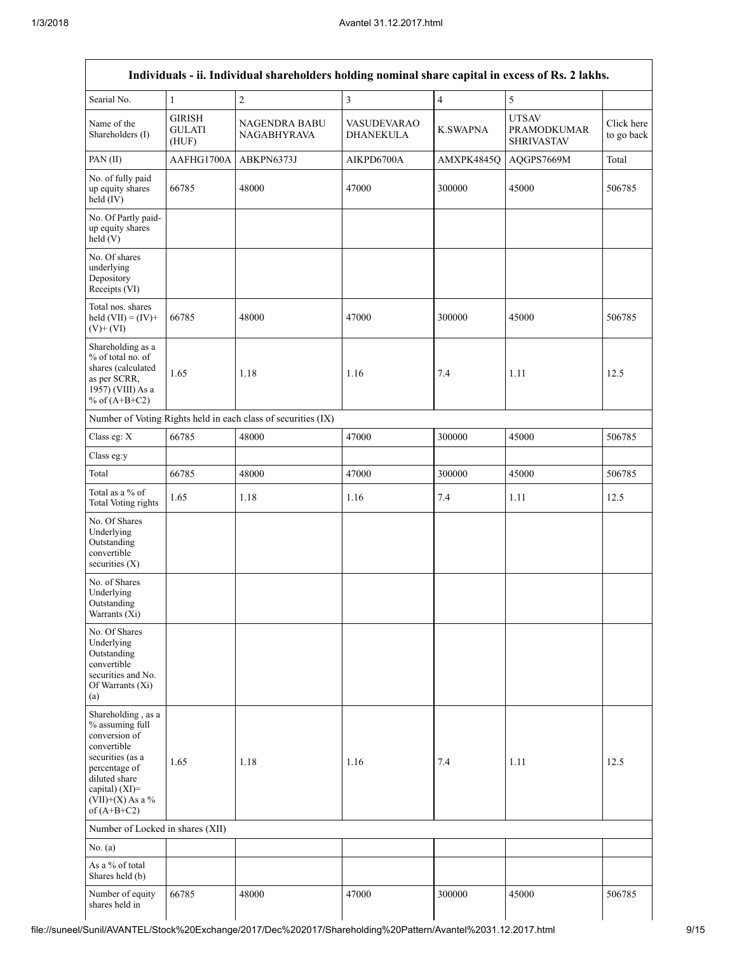|                                                                                                                                                                                      |                                         | Individuals - ii. Individual shareholders holding nominal share capital in excess of Rs. 2 lakhs. |                                 |                 |                                                         |                          |
|--------------------------------------------------------------------------------------------------------------------------------------------------------------------------------------|-----------------------------------------|---------------------------------------------------------------------------------------------------|---------------------------------|-----------------|---------------------------------------------------------|--------------------------|
| Searial No.                                                                                                                                                                          | $\mathbf{1}$                            | $\overline{c}$                                                                                    | $\overline{\mathbf{3}}$         | $\overline{4}$  | 5                                                       |                          |
| Name of the<br>Shareholders (I)                                                                                                                                                      | <b>GIRISH</b><br><b>GULATI</b><br>(HUF) | <b>NAGENDRA BABU</b><br><b>NAGABHYRAVA</b>                                                        | <b>VASUDEVARAO</b><br>DHANEKULA | <b>K.SWAPNA</b> | <b>UTSAV</b><br><b>PRAMODKUMAR</b><br><b>SHRIVASTAV</b> | Click here<br>to go back |
| PAN(II)                                                                                                                                                                              | AAFHG1700A                              | ABKPN6373J                                                                                        | AIKPD6700A                      | AMXPK4845Q      | AQGPS7669M                                              | Total                    |
| No. of fully paid<br>up equity shares<br>held (IV)                                                                                                                                   | 66785                                   | 48000                                                                                             | 47000                           | 300000          | 45000                                                   | 506785                   |
| No. Of Partly paid-<br>up equity shares<br>held(V)                                                                                                                                   |                                         |                                                                                                   |                                 |                 |                                                         |                          |
| No. Of shares<br>underlying<br>Depository<br>Receipts (VI)                                                                                                                           |                                         |                                                                                                   |                                 |                 |                                                         |                          |
| Total nos. shares<br>held $(VII) = (IV) +$<br>$(V)$ + $(VI)$                                                                                                                         | 66785                                   | 48000                                                                                             | 47000                           | 300000          | 45000                                                   | 506785                   |
| Shareholding as a<br>% of total no. of<br>shares (calculated<br>as per SCRR,<br>1957) (VIII) As a<br>% of $(A+B+C2)$                                                                 | 1.65                                    | 1.18                                                                                              | 1.16                            | 7.4             | 1.11                                                    | 12.5                     |
|                                                                                                                                                                                      |                                         | Number of Voting Rights held in each class of securities (IX)                                     |                                 |                 |                                                         |                          |
| Class eg: X                                                                                                                                                                          | 66785                                   | 48000                                                                                             | 47000                           | 300000          | 45000                                                   | 506785                   |
| Class eg:y                                                                                                                                                                           |                                         |                                                                                                   |                                 |                 |                                                         |                          |
| Total                                                                                                                                                                                | 66785                                   | 48000                                                                                             | 47000                           | 300000          | 45000                                                   | 506785                   |
| Total as a % of<br>Total Voting rights                                                                                                                                               | 1.65                                    | 1.18                                                                                              | 1.16                            | 7.4             | 1.11                                                    | 12.5                     |
| No. Of Shares<br>Underlying<br>Outstanding<br>convertible<br>securities $(X)$                                                                                                        |                                         |                                                                                                   |                                 |                 |                                                         |                          |
| No. of Shares<br>Underlying<br>Outstanding<br>Warrants (Xi)                                                                                                                          |                                         |                                                                                                   |                                 |                 |                                                         |                          |
| No. Of Shares<br>Underlying<br>Outstanding<br>convertible<br>securities and No.<br>Of Warrants (Xi)<br>(a)                                                                           |                                         |                                                                                                   |                                 |                 |                                                         |                          |
| Shareholding, as a<br>% assuming full<br>conversion of<br>convertible<br>securities (as a<br>percentage of<br>diluted share<br>capital) (XI)=<br>$(VII)+(X)$ As a %<br>of $(A+B+C2)$ | 1.65                                    | 1.18                                                                                              | 1.16                            | 7.4             | 1.11                                                    | 12.5                     |
| Number of Locked in shares (XII)                                                                                                                                                     |                                         |                                                                                                   |                                 |                 |                                                         |                          |
| No. (a)                                                                                                                                                                              |                                         |                                                                                                   |                                 |                 |                                                         |                          |
| As a % of total<br>Shares held (b)                                                                                                                                                   |                                         |                                                                                                   |                                 |                 |                                                         |                          |
| Number of equity<br>shares held in                                                                                                                                                   | 66785                                   | 48000                                                                                             | 47000                           | 300000          | 45000                                                   | 506785                   |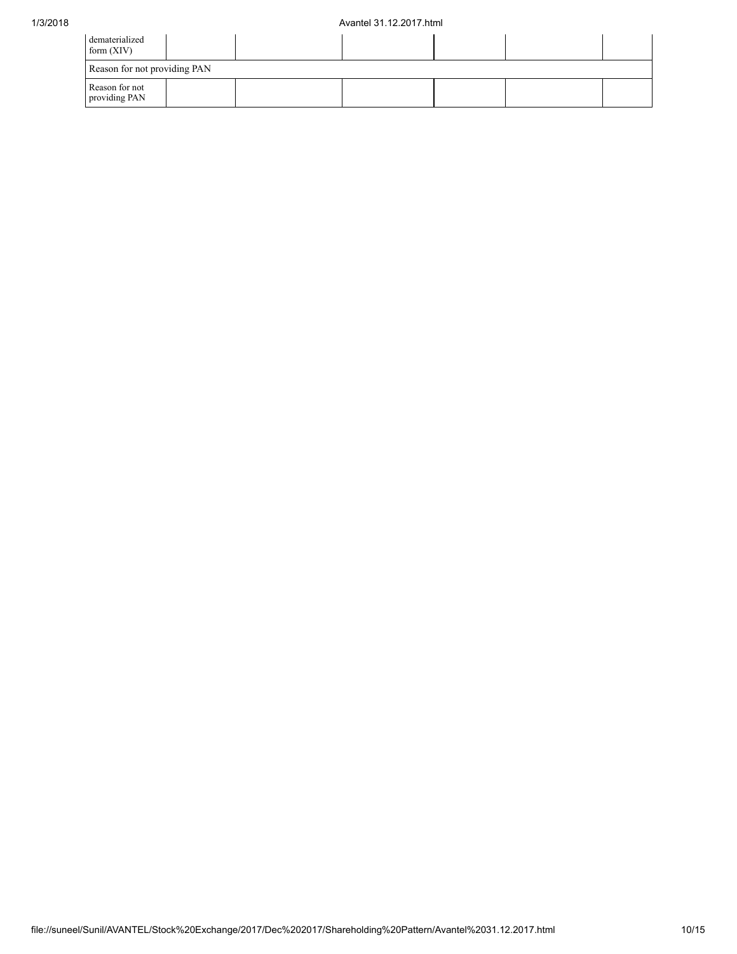| dematerialized<br>form $(XIV)$  |  |  |  |
|---------------------------------|--|--|--|
| Reason for not providing PAN    |  |  |  |
| Reason for not<br>providing PAN |  |  |  |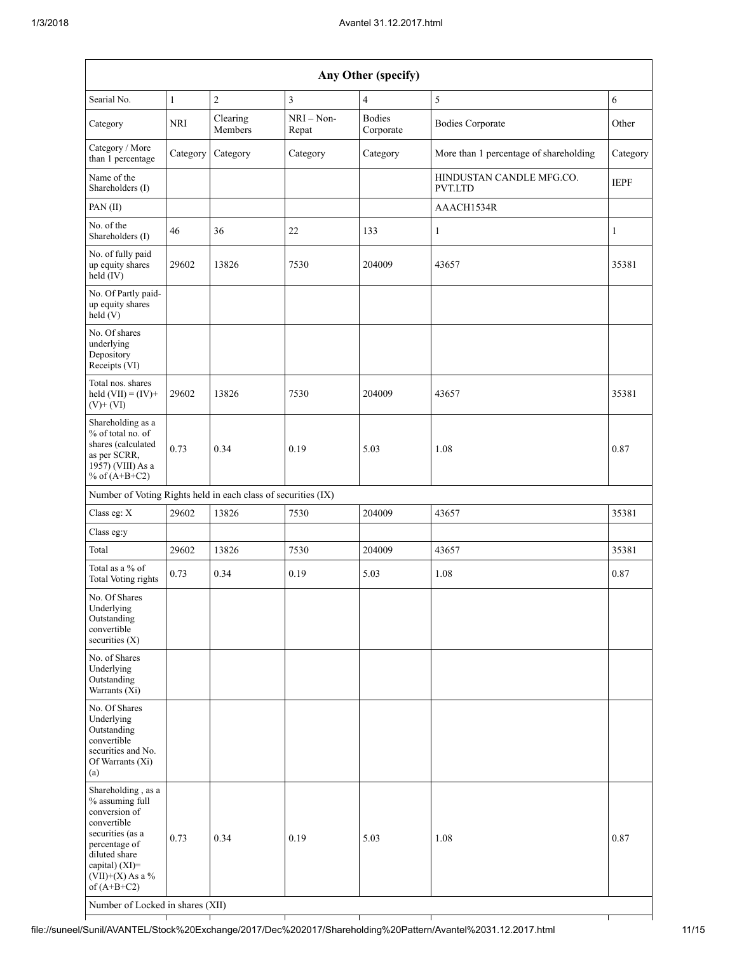|                                                                                                                                                                                                                          | Any Other (specify) |                     |                       |                            |                                        |              |  |  |  |  |  |  |
|--------------------------------------------------------------------------------------------------------------------------------------------------------------------------------------------------------------------------|---------------------|---------------------|-----------------------|----------------------------|----------------------------------------|--------------|--|--|--|--|--|--|
| Searial No.                                                                                                                                                                                                              | $\mathbf{1}$        | $\overline{c}$      | 3                     | $\overline{4}$             | 5                                      | $\sqrt{6}$   |  |  |  |  |  |  |
| Category                                                                                                                                                                                                                 | <b>NRI</b>          | Clearing<br>Members | $NRI - Non-$<br>Repat | <b>Bodies</b><br>Corporate | <b>Bodies Corporate</b>                | Other        |  |  |  |  |  |  |
| Category / More<br>than 1 percentage                                                                                                                                                                                     | Category            | Category            | Category              | Category                   | More than 1 percentage of shareholding | Category     |  |  |  |  |  |  |
| Name of the<br>Shareholders (I)                                                                                                                                                                                          |                     |                     |                       |                            | HINDUSTAN CANDLE MFG.CO.<br>PVT.LTD    | <b>IEPF</b>  |  |  |  |  |  |  |
| PAN(II)                                                                                                                                                                                                                  |                     |                     |                       |                            | AAACH1534R                             |              |  |  |  |  |  |  |
| No. of the<br>Shareholders (I)                                                                                                                                                                                           | 46                  | 36                  | 22                    | 133                        | 1                                      | $\mathbf{1}$ |  |  |  |  |  |  |
| No. of fully paid<br>up equity shares<br>$held$ (IV)                                                                                                                                                                     | 29602               | 13826               | 7530                  | 204009                     | 43657                                  | 35381        |  |  |  |  |  |  |
| No. Of Partly paid-<br>up equity shares<br>held(V)                                                                                                                                                                       |                     |                     |                       |                            |                                        |              |  |  |  |  |  |  |
| No. Of shares<br>underlying<br>Depository<br>Receipts (VI)                                                                                                                                                               |                     |                     |                       |                            |                                        |              |  |  |  |  |  |  |
| Total nos. shares<br>held $(VII) = (IV) +$<br>$(V)$ + $(VI)$                                                                                                                                                             | 29602               | 13826               | 7530                  | 204009                     | 43657                                  | 35381        |  |  |  |  |  |  |
| Shareholding as a<br>% of total no. of<br>shares (calculated<br>as per SCRR,<br>1957) (VIII) As a<br>% of $(A+B+C2)$                                                                                                     | 0.73                | 0.34                | 0.19                  | 5.03                       | 1.08                                   | 0.87         |  |  |  |  |  |  |
| Number of Voting Rights held in each class of securities (IX)                                                                                                                                                            |                     |                     |                       |                            |                                        |              |  |  |  |  |  |  |
| Class eg: X                                                                                                                                                                                                              | 29602               | 13826               | 7530                  | 204009                     | 43657                                  | 35381        |  |  |  |  |  |  |
| Class eg:y                                                                                                                                                                                                               |                     |                     |                       |                            |                                        |              |  |  |  |  |  |  |
| Total                                                                                                                                                                                                                    | 29602               | 13826               | 7530                  | 204009                     | 43657                                  | 35381        |  |  |  |  |  |  |
| Total as a % of<br>Total Voting rights                                                                                                                                                                                   | 0.73                | 0.34                | 0.19                  | 5.03                       | 1.08                                   | 0.87         |  |  |  |  |  |  |
| No. Of Shares<br>Underlying<br>Outstanding<br>convertible<br>securities $(X)$                                                                                                                                            |                     |                     |                       |                            |                                        |              |  |  |  |  |  |  |
| No. of Shares<br>Underlying<br>Outstanding<br>Warrants (Xi)                                                                                                                                                              |                     |                     |                       |                            |                                        |              |  |  |  |  |  |  |
| No. Of Shares<br>Underlying<br>Outstanding<br>convertible<br>securities and No.<br>Of Warrants (Xi)<br>(a)                                                                                                               |                     |                     |                       |                            |                                        |              |  |  |  |  |  |  |
| Shareholding, as a<br>% assuming full<br>conversion of<br>convertible<br>securities (as a<br>percentage of<br>diluted share<br>capital) (XI)=<br>$(VII)+(X)$ As a %<br>of $(A+B+C2)$<br>Number of Locked in shares (XII) | 0.73                | 0.34                | 0.19                  | 5.03                       | 1.08                                   | 0.87         |  |  |  |  |  |  |

┯

┱

┯

┱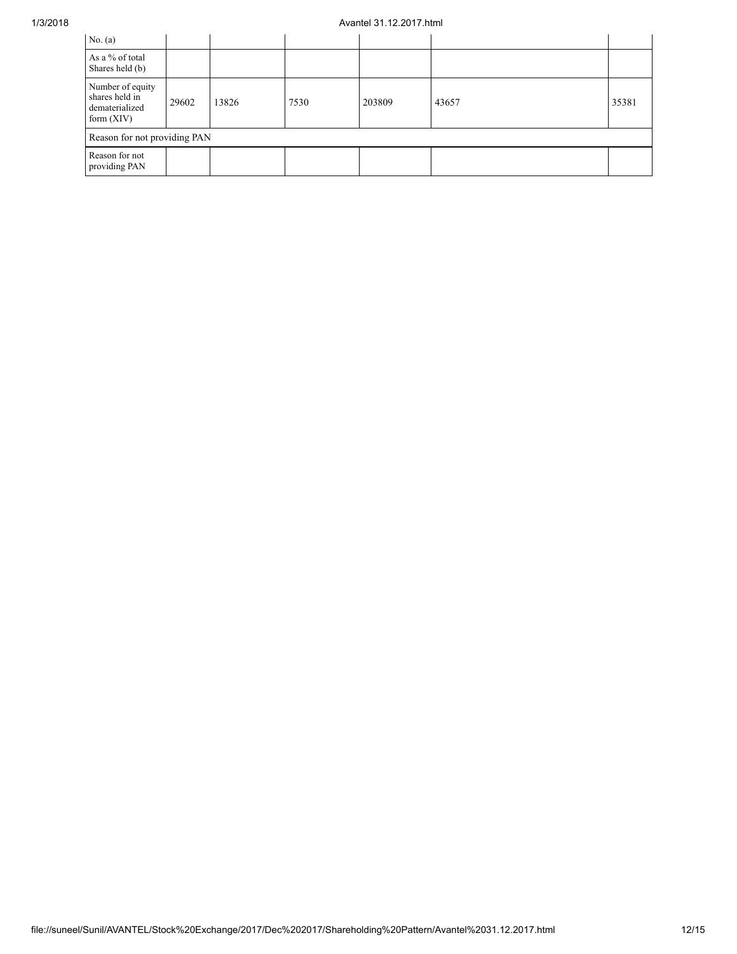## 1/3/2018 Avantel 31.12.2017.html

| No. $(a)$                                                            |       |       |      |        |       |       |
|----------------------------------------------------------------------|-------|-------|------|--------|-------|-------|
| As a % of total<br>Shares held (b)                                   |       |       |      |        |       |       |
| Number of equity<br>shares held in<br>dematerialized<br>form $(XIV)$ | 29602 | 13826 | 7530 | 203809 | 43657 | 35381 |
| Reason for not providing PAN                                         |       |       |      |        |       |       |
| Reason for not<br>providing PAN                                      |       |       |      |        |       |       |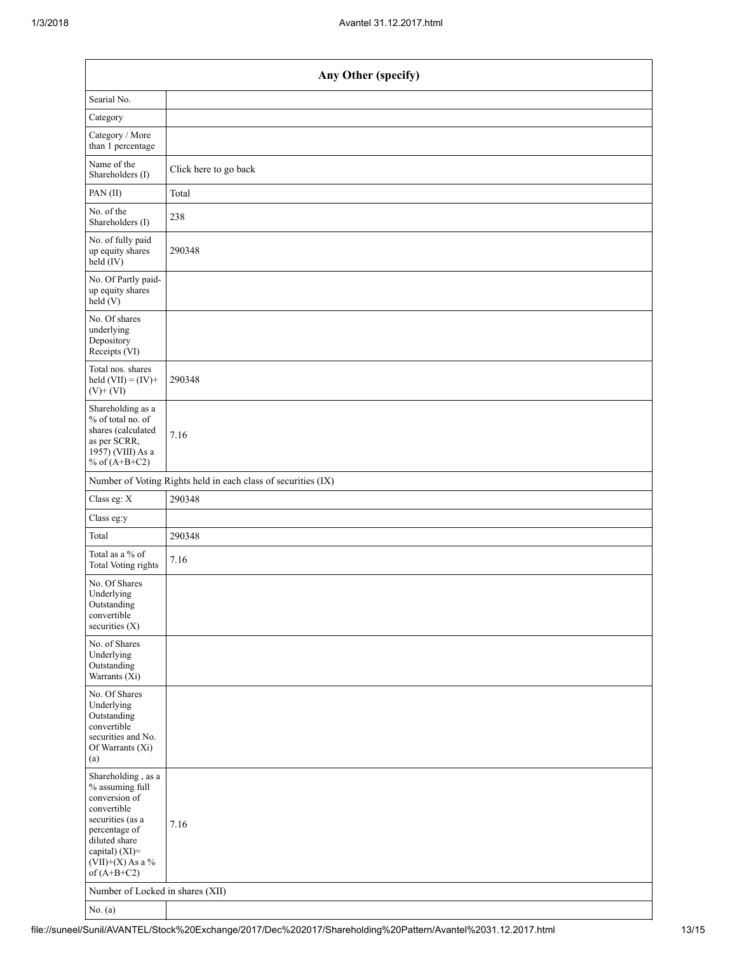| Any Other (specify)                                                                                                                                                                  |                       |
|--------------------------------------------------------------------------------------------------------------------------------------------------------------------------------------|-----------------------|
| Searial No.                                                                                                                                                                          |                       |
| Category                                                                                                                                                                             |                       |
| Category / More<br>than 1 percentage                                                                                                                                                 |                       |
| Name of the<br>Shareholders (I)                                                                                                                                                      | Click here to go back |
| PAN(II)                                                                                                                                                                              | Total                 |
| No. of the<br>Shareholders (I)                                                                                                                                                       | 238                   |
| No. of fully paid<br>up equity shares<br>$\text{held}(\text{IV})$                                                                                                                    | 290348                |
| No. Of Partly paid-<br>up equity shares<br>held(V)                                                                                                                                   |                       |
| No. Of shares<br>underlying<br>Depository<br>Receipts (VI)                                                                                                                           |                       |
| Total nos. shares<br>held $(VII) = (IV) +$<br>$(V)$ + $(VI)$                                                                                                                         | 290348                |
| Shareholding as a<br>% of total no. of<br>shares (calculated<br>as per SCRR,<br>1957) (VIII) As a<br>% of $(A+B+C2)$                                                                 | 7.16                  |
| Number of Voting Rights held in each class of securities (IX)                                                                                                                        |                       |
| Class eg: X                                                                                                                                                                          | 290348                |
| Class eg:y                                                                                                                                                                           |                       |
| Total                                                                                                                                                                                | 290348                |
| Total as a % of<br>Total Voting rights                                                                                                                                               | 7.16                  |
| No. Of Shares<br>Underlying<br>Outstanding<br>convertible<br>securities (X)                                                                                                          |                       |
| No. of Shares<br>Underlying<br>Outstanding<br>Warrants (Xi)                                                                                                                          |                       |
| No. Of Shares<br>Underlying<br>Outstanding<br>convertible<br>securities and No.<br>Of Warrants (Xi)<br>(a)                                                                           |                       |
| Shareholding, as a<br>% assuming full<br>conversion of<br>convertible<br>securities (as a<br>percentage of<br>diluted share<br>capital) (XI)=<br>$(VII)+(X)$ As a %<br>of $(A+B+C2)$ | 7.16                  |
| Number of Locked in shares (XII)                                                                                                                                                     |                       |
| No. $(a)$                                                                                                                                                                            |                       |